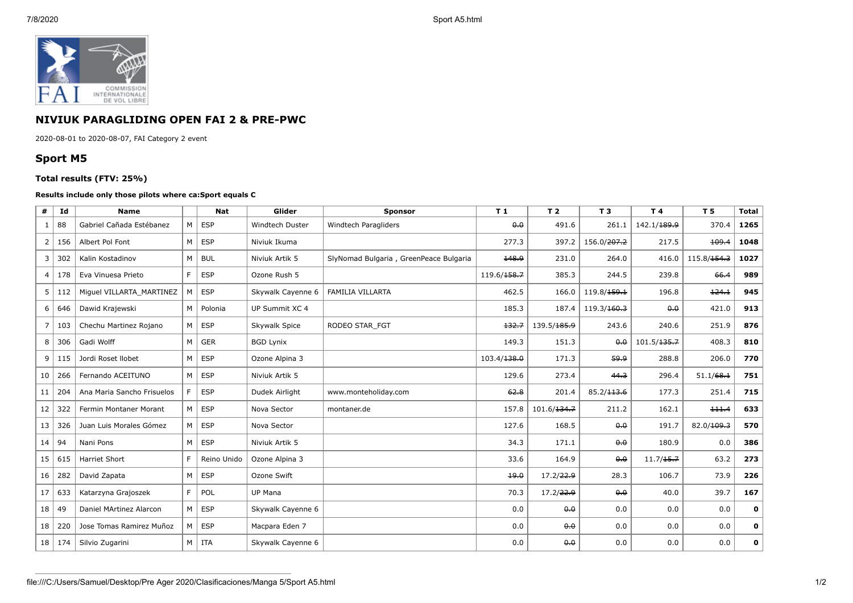

## **NIVIUK PARAGLIDING OPEN FAI 2 & PRE-PWC**

2020-08-01 to 2020-08-07, FAI Category 2 event

## **Sport M5**

## **Total results (FTV: 25%)**

## **Results include only those pilots where ca:Sport equals C**

| #               | Id  | <b>Name</b>                |   | <b>Nat</b>  | Glider            | Sponsor                                | T <sub>1</sub>                 | T <sub>2</sub>        | <b>T3</b>               | T4                      | T 5                     | <b>Total</b> |
|-----------------|-----|----------------------------|---|-------------|-------------------|----------------------------------------|--------------------------------|-----------------------|-------------------------|-------------------------|-------------------------|--------------|
| 1               | 88  | Gabriel Cañada Estébanez   | M | <b>ESP</b>  | Windtech Duster   | Windtech Paragliders                   | $\theta$ <sub>+</sub> $\theta$ | 491.6                 | 261.1                   | 142.1/ <del>189.9</del> | 370.4                   | 1265         |
| $\overline{2}$  | 156 | Albert Pol Font            | M | <b>ESP</b>  | Niviuk Ikuma      |                                        | 277.3                          | 397.2                 | 156.0/ <del>207.2</del> | 217.5                   | 109.4                   | 1048         |
| 3               | 302 | Kalin Kostadinov           | M | <b>BUL</b>  | Niviuk Artik 5    | SlyNomad Bulgaria, GreenPeace Bulgaria | 148.9                          | 231.0                 | 264.0                   | 416.0                   | 115.8/ <del>154.3</del> | 1027         |
| 4 <sup>1</sup>  | 178 | Eva Vinuesa Prieto         | F | <b>ESP</b>  | Ozone Rush 5      |                                        | 119.6/ <del>158.7</del>        | 385.3                 | 244.5                   | 239.8                   | 66.4                    | 989          |
| 5 <sup>1</sup>  | 112 | Miguel VILLARTA MARTINEZ   |   | <b>ESP</b>  | Skywalk Cayenne 6 | <b>FAMILIA VILLARTA</b>                | 462.5                          | 166.0                 | 119.8/159.1             | 196.8                   | 124.1                   | 945          |
| 6               | 646 | Dawid Krajewski            | M | Polonia     | UP Summit XC 4    |                                        | 185.3                          | 187.4                 | 119.3/160.3             | 0.0                     | 421.0                   | 913          |
| 7               | 103 | Chechu Martinez Rojano     | M | <b>ESP</b>  | Skywalk Spice     | RODEO STAR FGT                         | 132.7                          | 139.5/185.9           | 243.6                   | 240.6                   | 251.9                   | 876          |
| 8               | 306 | Gadi Wolff                 | M | <b>GER</b>  | <b>BGD Lynix</b>  |                                        | 149.3                          | 151.3                 | 0.0                     | 101.5/ <del>135.7</del> | 408.3                   | 810          |
| 9               | 115 | Jordi Roset Ilobet         | М | <b>ESP</b>  | Ozone Alpina 3    |                                        | 103.4/138.0                    | 171.3                 | 59.9                    | 288.8                   | 206.0                   | 770          |
| 10              | 266 | Fernando ACEITUNO          | М | ESP         | Niviuk Artik 5    |                                        | 129.6                          | 273.4                 | 44.3                    | 296.4                   | 51.1/68.1               | 751          |
| 11              | 204 | Ana Maria Sancho Frisuelos |   | <b>ESP</b>  | Dudek Airlight    | www.monteholiday.com                   | 62.8                           | 201.4                 | 85.2/113.6              | 177.3                   | 251.4                   | 715          |
| 12              | 322 | Fermin Montaner Morant     | M | <b>ESP</b>  | Nova Sector       | montaner.de                            | 157.8                          | 101.6/134.7           | 211.2                   | 162.1                   | 111.4                   | 633          |
| 13              | 326 | Juan Luis Morales Gómez    | M | <b>ESP</b>  | Nova Sector       |                                        | 127.6                          | 168.5                 | 0.0                     | 191.7                   | 82.0/109.3              | 570          |
| 14              | 94  | Nani Pons                  | M | <b>ESP</b>  | Niviuk Artik 5    |                                        | 34.3                           | 171.1                 | 0.0                     | 180.9                   | 0.0                     | 386          |
| 15              | 615 | Harriet Short              | F | Reino Unido | Ozone Alpina 3    |                                        | 33.6                           | 164.9                 | 0.0                     | 11.7/15.7               | 63.2                    | 273          |
| 16              | 282 | David Zapata               | M | <b>ESP</b>  | Ozone Swift       |                                        | 19.0                           | 17.2/ <del>22.9</del> | 28.3                    | 106.7                   | 73.9                    | 226          |
| 17              | 633 | Katarzyna Grajoszek        | F | POL         | UP Mana           |                                        | 70.3                           | 17.2/22.9             | 0.0                     | 40.0                    | 39.7                    | 167          |
| 18              | -49 | Daniel MArtinez Alarcon    | M | <b>ESP</b>  | Skywalk Cayenne 6 |                                        | 0.0                            | 0.0                   | 0.0                     | 0.0                     | 0.0                     | 0            |
| 18              | 220 | Jose Tomas Ramirez Muñoz   | М | <b>ESP</b>  | Macpara Eden 7    |                                        | 0.0                            | 0.0                   | 0.0                     | 0.0                     | 0.0                     | 0            |
| 18 <sup>1</sup> | 174 | Silvio Zugarini            | M | ITA         | Skywalk Cayenne 6 |                                        | 0.0                            | 0.0                   | 0.0                     | 0.0                     | 0.0                     | 0            |